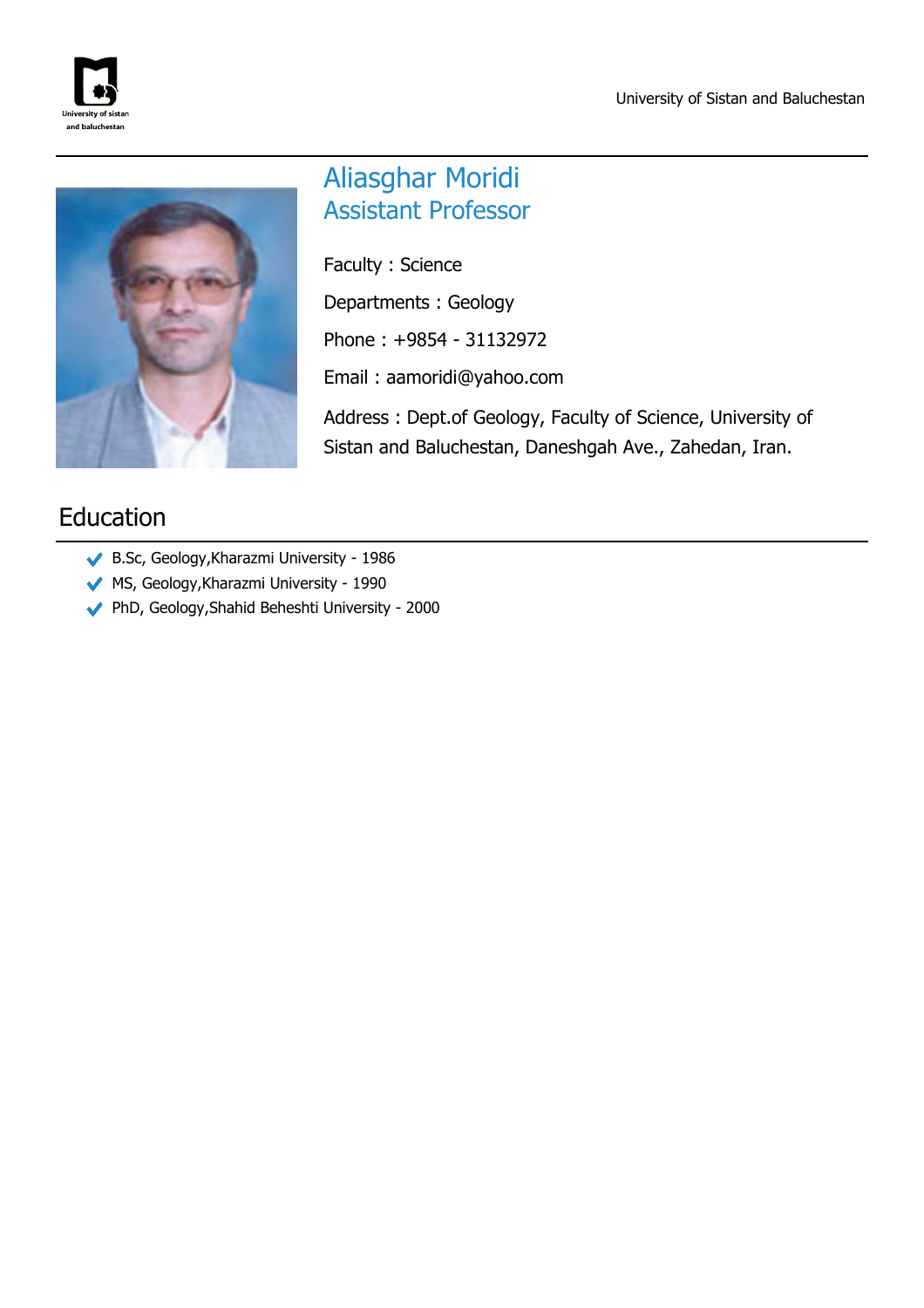



# Aliasghar Moridi Assistant Professor

Faculty : Science Departments : Geology Phone : +9854 - 31132972 Email : aamoridi@yahoo.com Address : Dept.of Geology, Faculty of Science, University of

Sistan and Baluchestan, Daneshgah Ave., Zahedan, Iran.

# Education

- B.Sc, Geology,Kharazmi University 1986
- MS, Geology,Kharazmi University 1990
- PhD, Geology,Shahid Beheshti University 2000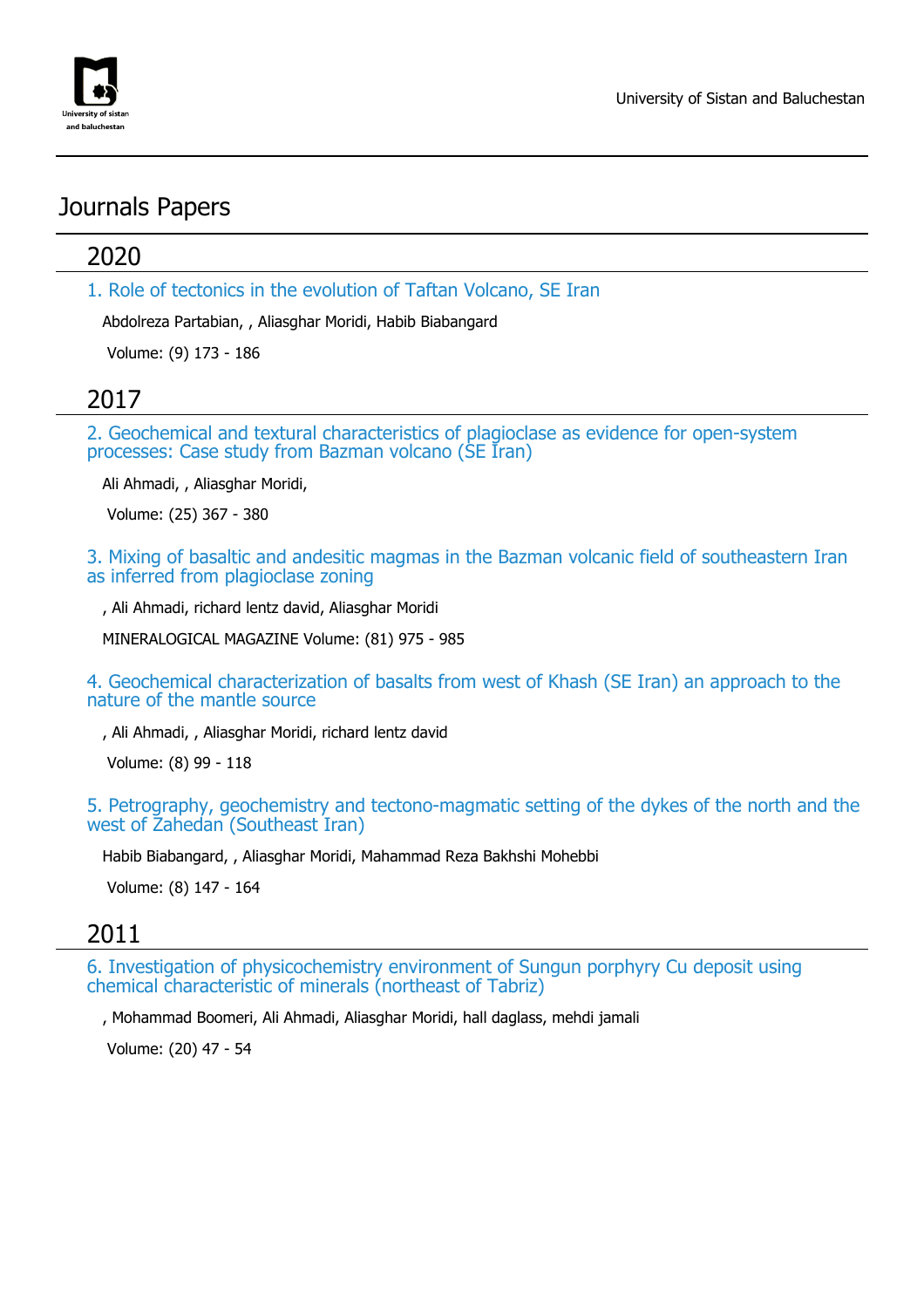

## Journals Papers

### 2020

1. Role of tectonics in the evolution of Taftan Volcano, SE Iran

Abdolreza Partabian, , Aliasghar Moridi, Habib Biabangard

Volume: (9) 173 - 186

## 2017

2. Geochemical and textural characteristics of plagioclase as evidence for open-system processes: Case study from Bazman volcano (SE Iran)

Ali Ahmadi, , Aliasghar Moridi,

Volume: (25) 367 - 380

3. Mixing of basaltic and andesitic magmas in the Bazman volcanic field of southeastern Iran as inferred from plagioclase zoning

, Ali Ahmadi, richard lentz david, Aliasghar Moridi

MINERALOGICAL MAGAZINE Volume: (81) 975 - 985

4. Geochemical characterization of basalts from west of Khash (SE Iran) an approach to the nature of the mantle source

, Ali Ahmadi, , Aliasghar Moridi, richard lentz david

Volume: (8) 99 - 118

5. Petrography, geochemistry and tectono-magmatic setting of the dykes of the north and the west of Zahedan (Southeast Iran)

Habib Biabangard, , Aliasghar Moridi, Mahammad Reza Bakhshi Mohebbi

Volume: (8) 147 - 164

#### 2011

6. Investigation of physicochemistry environment of Sungun porphyry Cu deposit using chemical characteristic of minerals (northeast of Tabriz)

, Mohammad Boomeri, Ali Ahmadi, Aliasghar Moridi, hall daglass, mehdi jamali

Volume: (20) 47 - 54